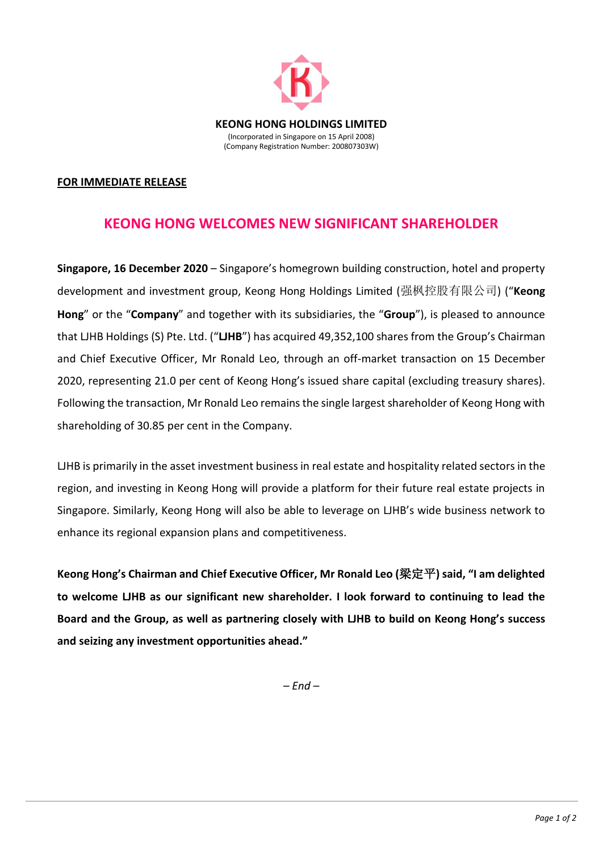

## **FOR IMMEDIATE RELEASE**

## **KEONG HONG WELCOMES NEW SIGNIFICANT SHAREHOLDER**

**Singapore, 16 December 2020** – Singapore's homegrown building construction, hotel and property development and investment group, Keong Hong Holdings Limited (强枫控股有限公司) ("**Keong Hong**" or the "**Company**" and together with its subsidiaries, the "**Group**"), is pleased to announce that LJHB Holdings (S) Pte. Ltd. ("**LJHB**") has acquired 49,352,100 shares from the Group's Chairman and Chief Executive Officer, Mr Ronald Leo, through an off-market transaction on 15 December 2020, representing 21.0 per cent of Keong Hong's issued share capital (excluding treasury shares). Following the transaction, Mr Ronald Leo remains the single largest shareholder of Keong Hong with shareholding of 30.85 per cent in the Company.

LJHB is primarily in the asset investment business in real estate and hospitality related sectors in the region, and investing in Keong Hong will provide a platform for their future real estate projects in Singapore. Similarly, Keong Hong will also be able to leverage on LJHB's wide business network to enhance its regional expansion plans and competitiveness.

**Keong Hong's Chairman and Chief Executive Officer, Mr Ronald Leo (**梁定平**) said, "I am delighted to welcome LJHB as our significant new shareholder. I look forward to continuing to lead the Board and the Group, as well as partnering closely with LJHB to build on Keong Hong's success and seizing any investment opportunities ahead."**

*– End –*